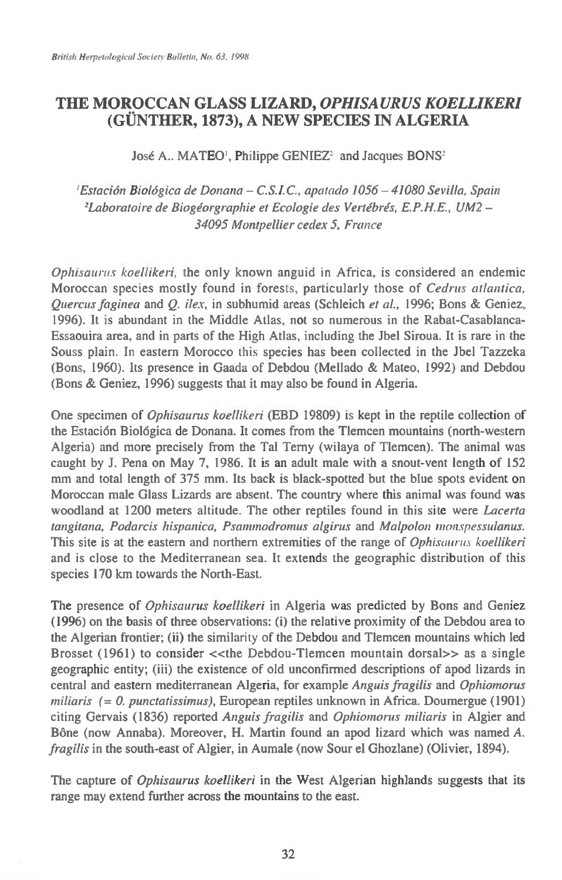## **THE MOROCCAN GLASS LIZARD,** *OPHISAURUS KOELLIKERI*  **(GUNTHER, 1873), A NEW SPECIES IN ALGERIA**

## **Jose A.. MATEO', Philippe GENIEZ' and Jacques BONS'**

<sup>1</sup> Estación Biológica de Donana - C.S.I.C., apatado 1056 - 41080 Sevilla, Spain <sup>2</sup>Laboratoire de Biogéorgraphie et Ecologie des Vertébrés, E.P.H.E., UM2 -**34095 Montpellier cedex 5, France** 

**Ophisaurus koellikeri, the only known anguid in Africa, is considered an endemic Moroccan species mostly found in forests, particularly those of Cedrus atlantica, Quercus faginea and** *Q.* **ilex, in subhumid areas (Schleich et al., 1996; Bons & Geniez, 1996). It is abundant in the Middle Atlas, not so numerous in the Rabat-Casablanca-Essaouira area, and in parts of the High Atlas, including the Jbel Siroua. It is rare in the Souss plain. In eastern Morocco this species has been collected in the Jbel Tazzeka (Bons, 1960). Its presence in Gaada of Debdou (Mellado & Mateo, 1992) and Debdou (Bons & Geniez, 1996) suggests that it may also be found in Algeria.** 

**One specimen of Ophisaurus koellikeri (EBD 19809) is kept in the reptile collection of the Estacion Biologica de Donana. It comes from the Tlemcen mountains (north-western Algeria) and more precisely from the Tal Terny (wilaya of Tlemcen). The animal was caught by J. Pena on May 7, 1986. It is an adult male with a snout-vent length of 152 mm and total length of 375 mm. Its back is black-spotted but the blue spots evident on Moroccan male Glass Lizards are absent. The country where this animal was found was woodland at 1200 meters altitude. The other reptiles found in this site were Lacerta tangitana, Podarcis hispanica, Psammodroznus algirus and Malpolon monspessulanus. This site is at the eastern and northern extremities of the range of Ophisauru.s koellikeri and is close to the Mediterranean sea. It extends the geographic distribution of this species 170 km towards the North-East.** 

**The presence of Ophisaurus koellikeri in Algeria was predicted by Bons and Geniez (1996) on the basis of three observations: (i) the relative proximity of the Debdou area to the Algerian frontier; (ii) the similarity of the Debdou and Tlemcen mountains which led**  Brosset (1961) to consider << the Debdou-Tlemcen mountain dorsal>> as a single **geographic entity; (iii) the existence of old unconfirmed descriptions of apod lizards in central and eastern mediterranean Algeria, for example Anguis fragilis and Ophiomorus miliaris (= 0. punctatissimus), European reptiles unknown in Africa. Doumergue (1901) citing Gervais (1836) reported Anguis fragilis and Ophiomorus miliaris in Algier and**  Bône (now Annaba). Moreover, H. Martin found an apod lizard which was named *A*. **fragilis in the south-east of Algier, in Aumale (now Sour el Ghozlane) (Olivier, 1894).** 

**The capture of Ophisaurus koellikeri in the West Algerian highlands suggests that its range may extend further across the mountains to the east.**